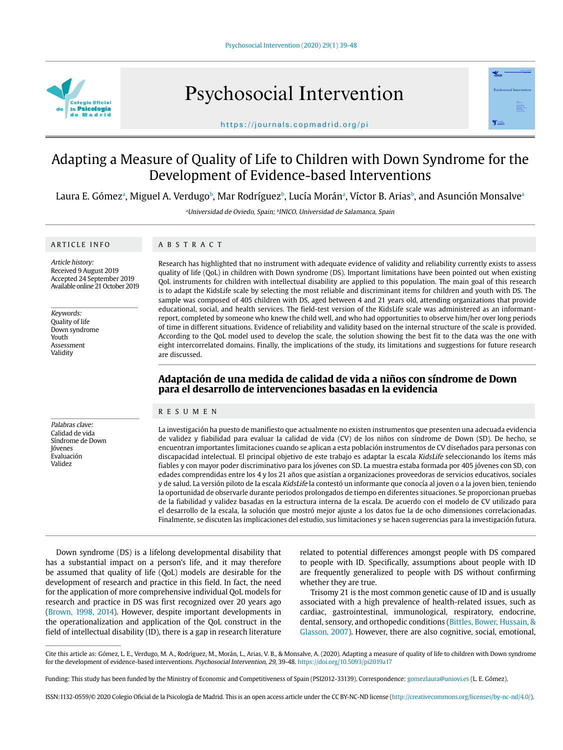

Psychosocial Intervention



https://journals.copmadrid.org/pi

# Adapting a Measure of Quality of Life to Children with Down Syndrome for the Development of Evidence-based Interventions

Laura E. Gómezª, Miguel A. Verdugoʰ, Mar Rodríguezʰ, Lucía Moránª, Víctor B. Ariasʰ, and Asunción Monsalveª

<sup>a</sup>Universidad de Oviedo, Spain; <sup>b</sup>INICO, Universidad de Salamanca, Spain

#### ARTICLE INFO

### ABSTRACT

Article history: Received 9 August 2019 Accepted 24 September 2019 Available online 21 October 2019

Keywords: Quality of life Down syndrome Youth Assessment Validity

Palabras clave: Calidad de vida Síndrome de Down Jóvenes Evaluación Validez

Research has highlighted that no instrument with adequate evidence of validity and reliability currently exists to assess quality of life (QoL) in children with Down syndrome (DS). Important limitations have been pointed out when existing QoL instruments for children with intellectual disability are applied to this population. The main goal of this research is to adapt the KidsLife scale by selecting the most reliable and discriminant items for children and youth with DS. The sample was composed of 405 children with DS, aged between 4 and 21 years old, attending organizations that provide educational, social, and health services. The field-test version of the KidsLife scale was administered as an informantreport, completed by someone who knew the child well, and who had opportunities to observe him/her over long periods of time in different situations. Evidence of reliability and validity based on the internal structure of the scale is provided. According to the QoL model used to develop the scale, the solution showing the best fit to the data was the one with eight intercorrelated domains. Finally, the implications of the study, its limitations and suggestions for future research are discussed.

# **Adaptación de una medida de calidad de vida a niños con síndrome de Down para el desarrollo de intervenciones basadas en la evidencia**

#### RESUMEN

La investigación ha puesto de manifiesto que actualmente no existen instrumentos que presenten una adecuada evidencia de validez y fiabilidad para evaluar la calidad de vida (CV) de los niños con síndrome de Down (SD). De hecho, se encuentran importantes limitaciones cuando se aplican a esta población instrumentos de CV diseñados para personas con discapacidad intelectual. El principal objetivo de este trabajo es adaptar la escala KidsLife seleccionando los ítems más fiables y con mayor poder discriminativo para los jóvenes con SD. La muestra estaba formada por 405 jóvenes con SD, con edades comprendidas entre los 4 y los 21 años que asistían a organizaciones proveedoras de servicios educativos, sociales y de salud. La versión piloto de la escala KidsLife la contestó un informante que conocía al joven o a la joven bien, teniendo la oportunidad de observarle durante periodos prolongados de tiempo en diferentes situaciones. Se proporcionan pruebas de la fiabilidad y validez basadas en la estructura interna de la escala. De acuerdo con el modelo de CV utilizado para el desarrollo de la escala, la solución que mostró mejor ajuste a los datos fue la de ocho dimensiones correlacionadas. Finalmente, se discuten las implicaciones del estudio, sus limitaciones y se hacen sugerencias para la investigación futura.

Down syndrome (DS) is a lifelong developmental disability that has a substantial impact on a person's life, and it may therefore be assumed that quality of life (QoL) models are desirable for the development of research and practice in this field. In fact, the need for the application of more comprehensive individual QoL models for research and practice in DS was first recognized over 20 years ago (Brown, 1998, 2014). However, despite important developments in the operationalization and application of the QoL construct in the field of intellectual disability (ID), there is a gap in research literature

related to potential differences amongst people with DS compared to people with ID. Specifically, assumptions about people with ID are frequently generalized to people with DS without confirming whether they are true.

Trisomy 21 is the most common genetic cause of ID and is usually associated with a high prevalence of health-related issues, such as cardiac, gastrointestinal, immunological, respiratory, endocrine, dental, sensory, and orthopedic conditions (Bittles, Bower, Hussain, & Glasson, 2007). However, there are also cognitive, social, emotional,

Cite this article as: Gómez, L. E., Verdugo, M. A., Rodríguez, M., Morán, L., Arias, V. B., & Monsalve, A. (2020). Adapting a measure of quality of life to children with Down syndrome for the development of evidence-based interventions. Psychosocial Intervention, 29, 39-48. https://doi.org/10.5093/pi2019a17

Funding: This study has been funded by the Ministry of Economic and Competitiveness of Spain (PSI2012-33139). Correspondence: gomezlaura@uniovi.es (L. E. Gómez).

ISSN:1132-0559/© 2020 Colegio Oficial de la Psicología de Madrid. This is an open access article under the CC BY-NC-ND license (http://creativecommons.org/licenses/by-nc-nd/4.0/).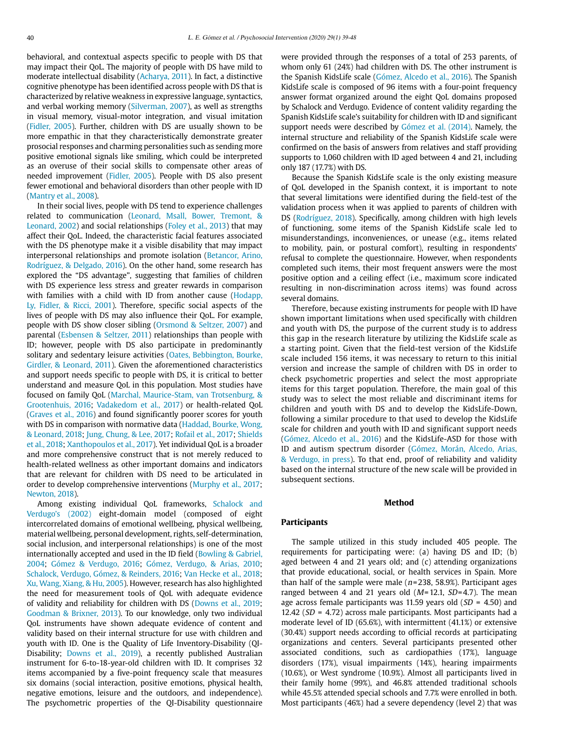behavioral, and contextual aspects specific to people with DS that may impact their QoL. The majority of people with DS have mild to moderate intellectual disability (Acharya, 2011). In fact, a distinctive cognitive phenotype has been identified across people with DS that is characterized by relative weakness in expressive language, syntactics, and verbal working memory (Silverman, 2007), as well as strengths in visual memory, visual-motor integration, and visual imitation (Fidler, 2005). Further, children with DS are usually shown to be more empathic in that they characteristically demonstrate greater prosocial responses and charming personalities such as sending more positive emotional signals like smiling, which could be interpreted as an overuse of their social skills to compensate other areas of needed improvement (Fidler, 2005). People with DS also present fewer emotional and behavioral disorders than other people with ID (Mantry et al., 2008).

In their social lives, people with DS tend to experience challenges related to communication (Leonard, Msall, Bower, Tremont, & Leonard, 2002) and social relationships (Foley et al., 2013) that may affect their QoL. Indeed, the characteristic facial features associated with the DS phenotype make it a visible disability that may impact interpersonal relationships and promote isolation (Betancor, Arino, Rodríguez, & Delgado, 2016). On the other hand, some research has explored the "DS advantage", suggesting that families of children with DS experience less stress and greater rewards in comparison with families with a child with ID from another cause (Hodapp, Ly, Fidler, & Ricci, 2001). Therefore, specific social aspects of the lives of people with DS may also influence their QoL. For example, people with DS show closer sibling (Orsmond & Seltzer, 2007) and parental (Esbensen & Seltzer, 2011) relationships than people with ID; however, people with DS also participate in predominantly solitary and sedentary leisure activities (Oates, Bebbington, Bourke, Girdler, & Leonard, 2011). Given the aforementioned characteristics and support needs specific to people with DS, it is critical to better understand and measure QoL in this population. Most studies have focused on family QoL (Marchal, Maurice-Stam, van Trotsenburg, & Grootenhuis, 2016; Vadakedom et al., 2017) or health-related QoL (Graves et al., 2016) and found significantly poorer scores for youth with DS in comparison with normative data (Haddad, Bourke, Wong, & Leonard, 2018; Jung, Chung, & Lee, 2017; Rofail et al., 2017; Shields et al., 2018; Xanthopoulos et al., 2017). Yet individual QoL is a broader and more comprehensive construct that is not merely reduced to health-related wellness as other important domains and indicators that are relevant for children with DS need to be articulated in order to develop comprehensive interventions (Murphy et al., 2017; Newton, 2018).

Among existing individual QoL frameworks, Schalock and Verdugo's (2002) eight-domain model (composed of eight intercorrelated domains of emotional wellbeing, physical wellbeing, material wellbeing, personal development, rights, self-determination, social inclusion, and interpersonal relationships) is one of the most internationally accepted and used in the ID field (Bowling & Gabriel, 2004; Gómez & Verdugo, 2016; Gómez, Verdugo, & Arias, 2010; Schalock, Verdugo, Gómez, & Reinders, 2016; Van Hecke et al., 2018; Xu, Wang, Xiang, & Hu, 2005). However, research has also highlighted the need for measurement tools of QoL with adequate evidence of validity and reliability for children with DS (Downs et al., 2019; Goodman & Brixner, 2013). To our knowledge, only two individual QoL instruments have shown adequate evidence of content and validity based on their internal structure for use with children and youth with ID. One is the Quality of Life Inventory-Disability (QI-Disability; Downs et al., 2019), a recently published Australian instrument for 6-to-18-year-old children with ID. It comprises 32 items accompanied by a five-point frequency scale that measures six domains (social interaction, positive emotions, physical health, negative emotions, leisure and the outdoors, and independence). The psychometric properties of the QI-Disability questionnaire

were provided through the responses of a total of 253 parents, of whom only 61 (24%) had children with DS. The other instrument is the Spanish KidsLife scale (Gómez, Alcedo et al., 2016). The Spanish KidsLife scale is composed of 96 items with a four-point frequency answer format organized around the eight QoL domains proposed by Schalock and Verdugo. Evidence of content validity regarding the Spanish KidsLife scale's suitability for children with ID and significant support needs were described by Gómez et al. (2014). Namely, the internal structure and reliability of the Spanish KidsLife scale were confirmed on the basis of answers from relatives and staff providing supports to 1,060 children with ID aged between 4 and 21, including only 187 (17.7%) with DS.

Because the Spanish KidsLife scale is the only existing measure of QoL developed in the Spanish context, it is important to note that several limitations were identified during the field-test of the validation process when it was applied to parents of children with DS (Rodríguez, 2018). Specifically, among children with high levels of functioning, some items of the Spanish KidsLife scale led to misunderstandings, inconveniences, or unease (e.g., items related to mobility, pain, or postural comfort), resulting in respondents' refusal to complete the questionnaire. However, when respondents completed such items, their most frequent answers were the most positive option and a ceiling effect (i.e., maximum score indicated resulting in non-discrimination across items) was found across several domains.

Therefore, because existing instruments for people with ID have shown important limitations when used specifically with children and youth with DS, the purpose of the current study is to address this gap in the research literature by utilizing the KidsLife scale as a starting point. Given that the field-test version of the KidsLife scale included 156 items, it was necessary to return to this initial version and increase the sample of children with DS in order to check psychometric properties and select the most appropriate items for this target population. Therefore, the main goal of this study was to select the most reliable and discriminant items for children and youth with DS and to develop the KidsLife-Down, following a similar procedure to that used to develop the KidsLife scale for children and youth with ID and significant support needs (Gómez, Alcedo et al., 2016) and the KidsLife-ASD for those with ID and autism spectrum disorder (Gómez, Morán, Alcedo, Arias, & Verdugo, in press). To that end, proof of reliability and validity based on the internal structure of the new scale will be provided in subsequent sections.

#### **Method**

#### **Participants**

The sample utilized in this study included 405 people. The requirements for participating were: (a) having DS and ID; (b) aged between 4 and 21 years old; and (c) attending organizations that provide educational, social, or health services in Spain. More than half of the sample were male ( $n=238$ , 58.9%). Participant ages ranged between 4 and 21 years old  $(M=12.1, SD=4.7)$ . The mean age across female participants was 11.59 years old  $(SD = 4.50)$  and 12.42 ( $SD = 4.72$ ) across male participants. Most participants had a moderate level of ID (65.6%), with intermittent (41.1%) or extensive (30.4%) support needs according to official records at participating organizations and centers. Several participants presented other associated conditions, such as cardiopathies (17%), language disorders (17%), visual impairments (14%), hearing impairments (10.6%), or West syndrome (10.9%). Almost all participants lived in their family home (99%), and 46.8% attended traditional schools while 45.5% attended special schools and 7.7% were enrolled in both. Most participants (46%) had a severe dependency (level 2) that was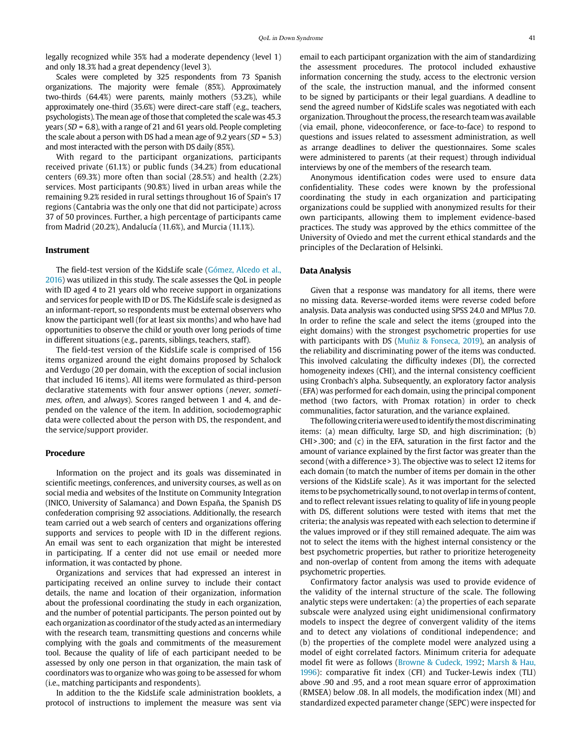legally recognized while 35% had a moderate dependency (level 1) and only 18.3% had a great dependency (level 3).

Scales were completed by 325 respondents from 73 Spanish organizations. The majority were female (85%). Approximately two-thirds (64.4%) were parents, mainly mothers (53.2%), while approximately one-third (35.6%) were direct-care staff (e.g., teachers, psychologists). The mean age of those that completed the scale was 45.3 years (SD = 6.8), with a range of 21 and 61 years old. People completing the scale about a person with DS had a mean age of 9.2 years ( $SD = 5.3$ ) and most interacted with the person with DS daily (85%).

With regard to the participant organizations, participants received private (61.1%) or public funds (34.2%) from educational centers (69.3%) more often than social (28.5%) and health (2.2%) services. Most participants (90.8%) lived in urban areas while the remaining 9.2% resided in rural settings throughout 16 of Spain's 17 regions (Cantabria was the only one that did not participate) across 37 of 50 provinces. Further, a high percentage of participants came from Madrid (20.2%), Andalucía (11.6%), and Murcia (11.1%).

#### **Instrument**

The field-test version of the KidsLife scale (Gómez, Alcedo et al., 2016) was utilized in this study. The scale assesses the QoL in people with ID aged 4 to 21 years old who receive support in organizations and services for people with ID or DS. The KidsLife scale is designed as an informant-report, so respondents must be external observers who know the participant well (for at least six months) and who have had opportunities to observe the child or youth over long periods of time in different situations (e.g., parents, siblings, teachers, staff).

The field-test version of the KidsLife scale is comprised of 156 items organized around the eight domains proposed by Schalock and Verdugo (20 per domain, with the exception of social inclusion that included 16 items). All items were formulated as third-person declarative statements with four answer options (never, sometimes, often, and always). Scores ranged between 1 and 4, and depended on the valence of the item. In addition, sociodemographic data were collected about the person with DS, the respondent, and the service/support provider.

#### **Procedure**

Information on the project and its goals was disseminated in scientific meetings, conferences, and university courses, as well as on social media and websites of the Institute on Community Integration (INICO, University of Salamanca) and Down España, the Spanish DS confederation comprising 92 associations. Additionally, the research team carried out a web search of centers and organizations offering supports and services to people with ID in the different regions. An email was sent to each organization that might be interested in participating. If a center did not use email or needed more information, it was contacted by phone.

Organizations and services that had expressed an interest in participating received an online survey to include their contact details, the name and location of their organization, information about the professional coordinating the study in each organization, and the number of potential participants. The person pointed out by each organization as coordinator of the study acted as an intermediary with the research team, transmitting questions and concerns while complying with the goals and commitments of the measurement tool. Because the quality of life of each participant needed to be assessed by only one person in that organization, the main task of coordinators was to organize who was going to be assessed for whom (i.e., matching participants and respondents).

In addition to the the KidsLife scale administration booklets, a protocol of instructions to implement the measure was sent via email to each participant organization with the aim of standardizing the assessment procedures. The protocol included exhaustive information concerning the study, access to the electronic version of the scale, the instruction manual, and the informed consent to be signed by participants or their legal guardians. A deadline to send the agreed number of KidsLife scales was negotiated with each organization. Throughout the process, the research team was available (via email, phone, videoconference, or face-to-face) to respond to questions and issues related to assessment administration, as well as arrange deadlines to deliver the questionnaires. Some scales were administered to parents (at their request) through individual interviews by one of the members of the research team.

Anonymous identification codes were used to ensure data confidentiality. These codes were known by the professional coordinating the study in each organization and participating organizations could be supplied with anonymized results for their own participants, allowing them to implement evidence-based practices. The study was approved by the ethics committee of the University of Oviedo and met the current ethical standards and the principles of the Declaration of Helsinki.

#### **Data Analysis**

Given that a response was mandatory for all items, there were no missing data. Reverse-worded items were reverse coded before analysis. Data analysis was conducted using SPSS 24.0 and MPlus 7.0. In order to refine the scale and select the items (grouped into the eight domains) with the strongest psychometric properties for use with participants with DS (Muñiz & Fonseca, 2019), an analysis of the reliability and discriminating power of the items was conducted. This involved calculating the difficulty indexes (DI), the corrected homogeneity indexes (CHI), and the internal consistency coefficient using Cronbach's alpha. Subsequently, an exploratory factor analysis (EFA) was performed for each domain, using the principal component method (two factors, with Promax rotation) in order to check communalities, factor saturation, and the variance explained.

The following criteria were used to identify the most discriminating items: (a) mean difficulty, large SD, and high discrimination; (b) CHI>.300; and (c) in the EFA, saturation in the first factor and the amount of variance explained by the first factor was greater than the second (with a difference>3). The objective was to select 12 items for each domain (to match the number of items per domain in the other versions of the KidsLife scale). As it was important for the selected items to be psychometrically sound, to not overlap in terms of content, and to reflect relevant issues relating to quality of life in young people with DS, different solutions were tested with items that met the criteria; the analysis was repeated with each selection to determine if the values improved or if they still remained adequate. The aim was not to select the items with the highest internal consistency or the best psychometric properties, but rather to prioritize heterogeneity and non-overlap of content from among the items with adequate psychometric properties.

Confirmatory factor analysis was used to provide evidence of the validity of the internal structure of the scale. The following analytic steps were undertaken: (a) the properties of each separate subscale were analyzed using eight unidimensional confirmatory models to inspect the degree of convergent validity of the items and to detect any violations of conditional independence; and (b) the properties of the complete model were analyzed using a model of eight correlated factors. Minimum criteria for adequate model fit were as follows (Browne & Cudeck, 1992; Marsh & Hau, 1996): comparative fit index (CFI) and Tucker-Lewis index (TLI) above .90 and .95, and a root mean square error of approximation (RMSEA) below .08. In all models, the modification index (MI) and standardized expected parameter change (SEPC) were inspected for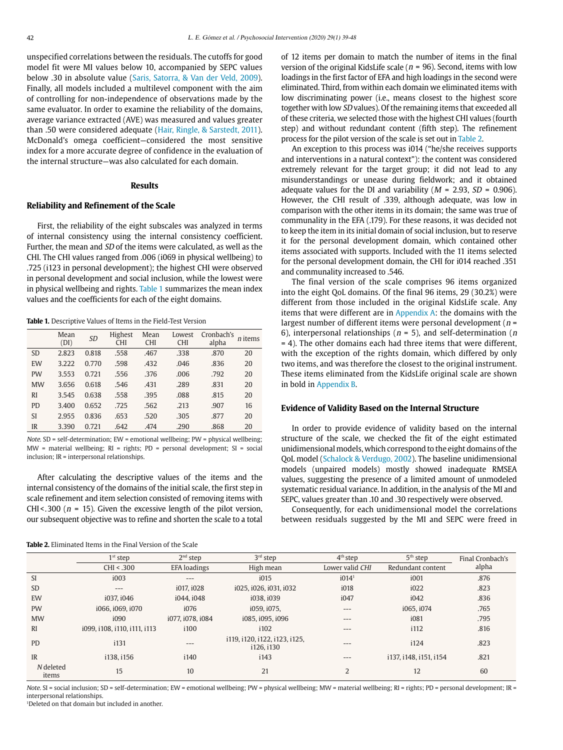unspecified correlations between the residuals. The cutoffs for good model fit were MI values below 10, accompanied by SEPC values below .30 in absolute value (Saris, Satorra, & Van der Veld, 2009). Finally, all models included a multilevel component with the aim of controlling for non-independence of observations made by the same evaluator. In order to examine the reliability of the domains, average variance extracted (AVE) was measured and values greater than .50 were considered adequate (Hair, Ringle, & Sarstedt, 2011). McDonald's omega coefficient—considered the most sensitive index for a more accurate degree of confidence in the evaluation of the internal structure—was also calculated for each domain.

### **Results**

#### **Reliability and Refinement of the Scale**

First, the reliability of the eight subscales was analyzed in terms of internal consistency using the internal consistency coefficient. Further, the mean and SD of the items were calculated, as well as the CHI. The CHI values ranged from .006 (i069 in physical wellbeing) to .725 (i123 in personal development); the highest CHI were observed in personal development and social inclusion, while the lowest were in physical wellbeing and rights. Table 1 summarizes the mean index values and the coefficients for each of the eight domains.

**Table 1.** Descriptive Values of Items in the Field-Test Version

|           | Mean<br>(DI) | <b>SD</b> | Highest<br><b>CHI</b> | Mean<br><b>CHI</b> | Lowest<br><b>CHI</b> | Cronbach's<br>alpha | <i>n</i> items |
|-----------|--------------|-----------|-----------------------|--------------------|----------------------|---------------------|----------------|
| <b>SD</b> | 2.823        | 0.818     | .558                  | .467               | .338                 | .870                | 20             |
| EW        | 3.222        | 0.770     | .598                  | .432               | .046                 | .836                | 20             |
| <b>PW</b> | 3.553        | 0.721     | .556                  | .376               | .006                 | .792                | 20             |
| <b>MW</b> | 3.656        | 0.618     | .546                  | .431               | .289                 | .831                | 20             |
| RI        | 3.545        | 0.638     | .558                  | .395               | .088                 | .815                | 20             |
| PD.       | 3.400        | 0.652     | .725                  | .562               | .213                 | .907                | 16             |
| SI        | 2.955        | 0.836     | .653                  | .520               | .305                 | .877                | 20             |
| IR        | 3.390        | 0.721     | .642                  | .474               | .290                 | .868                | 20             |

Note. SD = self-determination; EW = emotional wellbeing; PW = physical wellbeing; MW = material wellbeing; RI = rights; PD = personal development; SI = social inclusion; IR = interpersonal relationships.

After calculating the descriptive values of the items and the internal consistency of the domains of the initial scale, the first step in scale refinement and item selection consisted of removing items with CHI<.300 ( $n = 15$ ). Given the excessive length of the pilot version, our subsequent objective was to refine and shorten the scale to a total

| <b>Table 2.</b> Eliminated Items in the Final Version of the Scale |
|--------------------------------------------------------------------|
|--------------------------------------------------------------------|

of 12 items per domain to match the number of items in the final version of the original KidsLife scale ( $n = 96$ ). Second, items with low loadings in the first factor of EFA and high loadings in the second were eliminated. Third, from within each domain we eliminated items with low discriminating power (i.e., means closest to the highest score together with low SD values). Of the remaining items that exceeded all of these criteria, we selected those with the highest CHI values (fourth step) and without redundant content (fifth step). The refinement process for the pilot version of the scale is set out in Table 2.

An exception to this process was i014 ("he/she receives supports and interventions in a natural context"): the content was considered extremely relevant for the target group; it did not lead to any misunderstandings or unease during fieldwork; and it obtained adequate values for the DI and variability ( $M = 2.93$ ,  $SD = 0.906$ ). However, the CHI result of .339, although adequate, was low in comparison with the other items in its domain; the same was true of communality in the EFA (.179). For these reasons, it was decided not to keep the item in its initial domain of social inclusion, but to reserve it for the personal development domain, which contained other items associated with supports. Included with the 11 items selected for the personal development domain, the CHI for i014 reached .351 and communality increased to .546.

The final version of the scale comprises 96 items organized into the eight QoL domains. Of the final 96 items, 29 (30.2%) were different from those included in the original KidsLife scale. Any items that were different are in Appendix A: the domains with the largest number of different items were personal development ( $n =$ 6), interpersonal relationships ( $n = 5$ ), and self-determination ( $n$ = 4). The other domains each had three items that were different, with the exception of the rights domain, which differed by only two items, and was therefore the closest to the original instrument. These items eliminated from the KidsLife original scale are shown in bold in Appendix B.

### **Evidence of Validity Based on the Internal Structure**

In order to provide evidence of validity based on the internal structure of the scale, we checked the fit of the eight estimated unidimensional models, which correspond to the eight domains of the QoL model (Schalock & Verdugo, 2002). The baseline unidimensional models (unpaired models) mostly showed inadequate RMSEA values, suggesting the presence of a limited amount of unmodeled systematic residual variance. In addition, in the analysis of the MI and SEPC, values greater than .10 and .30 respectively were observed.

Consequently, for each unidimensional model the correlations between residuals suggested by the MI and SEPC were freed in

|                    | $1st$ step                   | $2nd$ step       | $3rd$ step                                  | $4th$ step        | $5th$ step             | Final Cronbach's |
|--------------------|------------------------------|------------------|---------------------------------------------|-------------------|------------------------|------------------|
|                    | CHI < .300                   | EFA loadings     | High mean                                   | Lower valid CHI   | Redundant content      | alpha            |
| <sup>SI</sup>      | i003                         | $---$            | i015                                        | i014 <sup>1</sup> | i001                   | .876             |
| <b>SD</b>          | $---$                        | i017. i028       | i025, i026, i031, i032                      | i018              | i022                   | .823             |
| EW                 | i037. i046                   | i044. i048       | i038.i039                                   | i047              | i042                   | .836             |
| <b>PW</b>          | i066. i069. i070             | i076             | i059. i075.                                 | $---$             | i065.i074              | .765             |
| <b>MW</b>          | i090                         | i077, i078, i084 | i085. i095. i096                            | $\qquad \qquad -$ | i081                   | .795             |
| RI                 | i099, i108, i110, i111, i113 | i100             | i102                                        | $---$             | i112                   | .816             |
| <b>PD</b>          | i131                         | $- - -$          | i119, i120, i122, i123, i125,<br>i126, i130 | $---$             | i124                   | .823             |
| IR                 | i138. i156                   | i140             | i143                                        | $---$             | i137, i148, i151, i154 | .821             |
| N deleted<br>items | 15                           | 10               | 21                                          | 2                 | 12                     | 60               |

Note. SI = social inclusion; SD = self-determination; EW = emotional wellbeing; PW = physical wellbeing; MW = material wellbeing; RI = rights; PD = personal development; IR = interpersonal relationships.

<sup>1</sup>Deleted on that domain but included in another.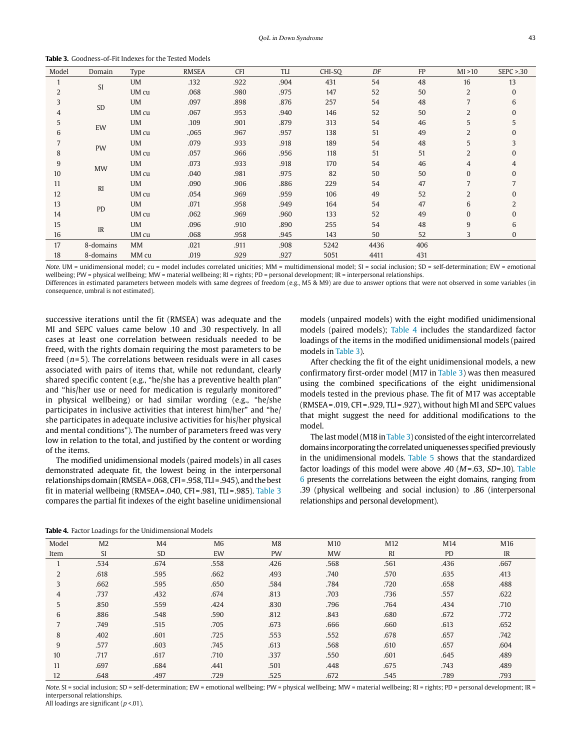**Table 3.** Goodness-of-Fit Indexes for the Tested Models

| Model | Domain         | Type      | <b>RMSEA</b> | <b>CFI</b> | <b>TLI</b> | CHI-SQ | DF   | FP  | MI > 10        | SEPC > 0.30  |
|-------|----------------|-----------|--------------|------------|------------|--------|------|-----|----------------|--------------|
| 1     | SI             | UM        | .132         | .922       | .904       | 431    | 54   | 48  | 16             | 13           |
| 2     |                | UM cu     | .068         | .980       | .975       | 147    | 52   | 50  | 2              | $\mathbf{0}$ |
| 3     | SD             | UM        | .097         | .898       | .876       | 257    | 54   | 48  | 7              | 6            |
| 4     |                | UM cu     | .067         | .953       | .940       | 146    | 52   | 50  | $\overline{2}$ | $\Omega$     |
| 5     | EW             | UM        | .109         | .901       | .879       | 313    | 54   | 46  | 5              | 5            |
| 6     |                | UM cu     | .,065        | .967       | .957       | 138    | 51   | 49  | 2              |              |
|       | PW             | UM        | .079         | .933       | .918       | 189    | 54   | 48  | 5              | 3            |
| 8     |                | UM cu     | .057         | .966       | .956       | 118    | 51   | 51  | $\overline{2}$ | $\Omega$     |
| 9     |                | UM        | .073         | .933       | .918       | 170    | 54   | 46  | $\overline{4}$ | 4            |
| 10    | <b>MW</b>      | UM cu     | .040         | .981       | .975       | 82     | 50   | 50  | 0              | $\Omega$     |
| 11    | R <sub>I</sub> | UM        | .090         | .906       | .886       | 229    | 54   | 47  | 7              |              |
| 12    |                | UM cu     | .054         | .969       | .959       | 106    | 49   | 52  | 2              | $\Omega$     |
| 13    | PD             | <b>UM</b> | .071         | .958       | .949       | 164    | 54   | 47  | 6              |              |
| 14    |                | UM cu     | .062         | .969       | .960       | 133    | 52   | 49  | $\mathbf{0}$   | $\mathbf{0}$ |
| 15    | IR             | UM        | .096         | .910       | .890       | 255    | 54   | 48  | 9              | 6            |
| 16    |                | UM cu     | .068         | .958       | .945       | 143    | 50   | 52  | 3              | 0            |
| 17    | 8-domains      | MM        | .021         | .911       | .908       | 5242   | 4436 | 406 |                |              |
| 18    | 8-domains      | MM cu     | .019         | .929       | .927       | 5051   | 4411 | 431 |                |              |

Note. UM = unidimensional model; cu = model includes correlated unicities; MM = multidimensional model; SI = social inclusion; SD = self-determination; EW = emotional wellbeing; PW = physical wellbeing; MW = material wellbeing; RI = rights; PD = personal development; IR = interpersonal relationships.

Differences in estimated parameters between models with same degrees of freedom (e.g., M5 & M9) are due to answer options that were not observed in some variables (in consequence, umbral is not estimated).

successive iterations until the fit (RMSEA) was adequate and the MI and SEPC values came below .10 and .30 respectively. In all cases at least one correlation between residuals needed to be freed, with the rights domain requiring the most parameters to be freed  $(n=5)$ . The correlations between residuals were in all cases associated with pairs of items that, while not redundant, clearly shared specific content (e.g., "he/she has a preventive health plan" and "his/her use or need for medication is regularly monitored" in physical wellbeing) or had similar wording (e.g., "he/she participates in inclusive activities that interest him/her" and "he/ she participates in adequate inclusive activities for his/her physical and mental conditions"). The number of parameters freed was very low in relation to the total, and justified by the content or wording of the items.

The modified unidimensional models (paired models) in all cases demonstrated adequate fit, the lowest being in the interpersonal relationships domain (RMSEA=.068, CFI=.958, TLI=.945), and the best fit in material wellbeing (RMSEA=.040, CFI=.981, TLI=.985). Table 3 compares the partial fit indexes of the eight baseline unidimensional

models (unpaired models) with the eight modified unidimensional models (paired models); Table 4 includes the standardized factor loadings of the items in the modified unidimensional models (paired models in Table 3).

After checking the fit of the eight unidimensional models, a new confirmatory first-order model (M17 in Table 3) was then measured using the combined specifications of the eight unidimensional models tested in the previous phase. The fit of M17 was acceptable (RMSEA=.019, CFI=.929, TLI=.927), without high MI and SEPC values that might suggest the need for additional modifications to the model.

The last model (M18 in Table 3) consisted of the eight intercorrelated domains incorporating the correlated uniquenesses specified previously in the unidimensional models. Table 5 shows that the standardized factor loadings of this model were above .40 ( $M = .63$ ,  $SD = .10$ ). Table 6 presents the correlations between the eight domains, ranging from .39 (physical wellbeing and social inclusion) to .86 (interpersonal relationships and personal development).

**Table 4.** Factor Loadings for the Unidimensional Models

| Model | M <sub>2</sub> | M <sub>4</sub> | M <sub>6</sub> | M8        | M <sub>10</sub> | M12            | M14  | M16  |
|-------|----------------|----------------|----------------|-----------|-----------------|----------------|------|------|
|       |                |                |                |           |                 |                |      |      |
| Item  | <b>SI</b>      | <b>SD</b>      | EW             | <b>PW</b> | <b>MW</b>       | R <sub>I</sub> | PD   | IR   |
|       | .534           | .674           | .558           | .426      | .568            | .561           | .436 | .667 |
| 2     | .618           | .595           | .662           | .493      | .740            | .570           | .635 | .413 |
| 3     | .662           | .595           | .650           | .584      | .784            | .720           | .658 | .488 |
| 4     | .737           | .432           | .674           | .813      | .703            | .736           | .557 | .622 |
| 5     | .850           | .559           | .424           | .830      | .796            | .764           | .434 | .710 |
| 6     | .886           | .548           | .590           | .812      | .843            | .680           | .672 | .772 |
|       | .749           | .515           | .705           | .673      | .666            | .660           | .613 | .652 |
| 8     | .402           | .601           | .725           | .553      | .552            | .678           | .657 | .742 |
| 9     | .577           | .603           | .745           | .613      | .568            | .610           | .657 | .604 |
| 10    | .717           | .617           | .710           | .337      | .550            | .601           | .645 | .489 |
| 11    | .697           | .684           | .441           | .501      | .448            | .675           | .743 | .489 |
| 12    | .648           | .497           | .729           | .525      | .672            | .545           | .789 | .793 |

Note. SI = social inclusion; SD = self-determination; EW = emotional wellbeing; PW = physical wellbeing; MW = material wellbeing; RI = rights; PD = personal development; IR = interpersonal relationships.

All loadings are significant ( $p$  <.01).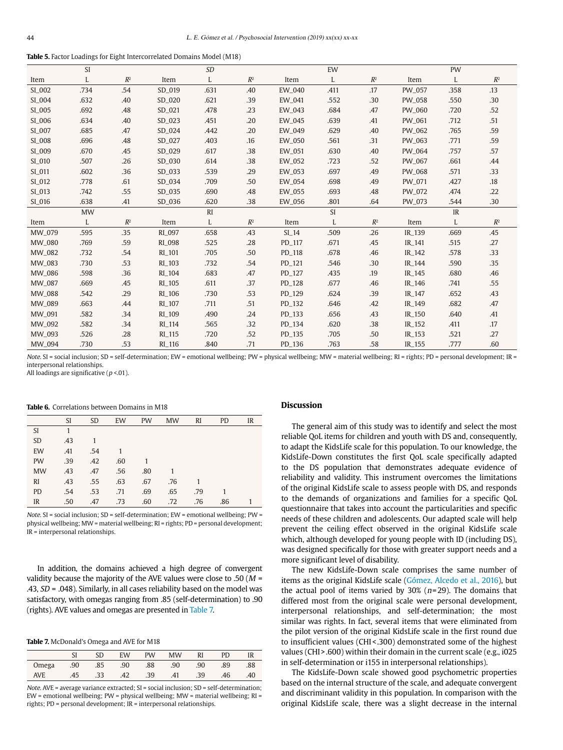| <b>Table 5.</b> Factor Loadings for Eight Intercorrelated Domains Model (M18) |  |  |  |
|-------------------------------------------------------------------------------|--|--|--|
|-------------------------------------------------------------------------------|--|--|--|

|        | <b>SI</b> |                |               | <b>SD</b> |       |         | EW        |                |        | PW   |                |
|--------|-----------|----------------|---------------|-----------|-------|---------|-----------|----------------|--------|------|----------------|
| Item   | L         | $R^2$          | Item          | L         | $R^2$ | Item    | L         | $R^2$          | Item   | L    | $\mathbb{R}^2$ |
| SI_002 | .734      | .54            | SD 019        | .631      | .40   | EW_040  | .411      | .17            | PW_057 | .358 | .13            |
| SI_004 | .632      | .40            | SD_020        | .621      | .39   | EW_041  | .552      | .30            | PW_058 | .550 | .30            |
| SI_005 | .692      | .48            | SD_021        | .478      | .23   | EW_043  | .684      | .47            | PW_060 | .720 | .52            |
| SI_006 | .634      | .40            | SD_023        | .451      | .20   | EW_045  | .639      | .41            | PW_061 | .712 | .51            |
| SI_007 | .685      | .47            | SD_024        | .442      | .20   | EW_049  | .629      | .40            | PW_062 | .765 | .59            |
| SI_008 | .696      | .48            | SD_027        | .403      | .16   | EW_050  | .561      | .31            | PW_063 | .771 | .59            |
| SI_009 | .670      | .45            | SD_029        | .617      | .38   | EW_051  | .630      | .40            | PW_064 | .757 | .57            |
| SI_010 | .507      | .26            | SD_030        | .614      | .38   | EW_052  | .723      | .52            | PW_067 | .661 | .44            |
| SI_011 | .602      | .36            | SD_033        | .539      | .29   | EW_053  | .697      | .49            | PW_068 | .571 | .33            |
| SI_012 | .778      | .61            | SD_034        | .709      | .50   | EW_054  | .698      | .49            | PW_071 | .427 | .18            |
| SI_013 | .742      | .55            | SD_035        | .690      | .48   | EW_055  | .693      | .48            | PW_072 | .474 | .22            |
| SI_016 | .638      | .41            | SD 036        | .620      | .38   | EW_056  | .801      | .64            | PW_073 | .544 | .30            |
|        | <b>MW</b> |                |               | RI        |       |         | <b>SI</b> |                |        | IR   |                |
| Item   | L         | $\mathbb{R}^2$ | Item          | L         | $R^2$ | Item    | L         | $\mathbb{R}^2$ | Item   | L    | $\mathbb{R}^2$ |
| MW_079 | .595      | .35            | RI_097        | .658      | .43   | $SI_14$ | .509      | .26            | IR_139 | .669 | .45            |
| MW_080 | .769      | .59            | <b>RI_098</b> | .525      | .28   | PD_117  | .671      | .45            | IR_141 | .515 | .27            |
| MW_082 | .732      | .54            | RI_101        | .705      | .50   | PD_118  | .678      | .46            | IR_142 | .578 | .33            |
| MW_083 | .730      | .53            | RI_103        | .732      | .54   | PD_121  | .546      | .30            | IR_144 | .590 | .35            |
| MW_086 | .598      | .36            | RI_104        | .683      | .47   | PD_127  | .435      | .19            | IR_145 | .680 | .46            |
| MW_087 | .669      | .45            | RI_105        | .611      | .37   | PD_128  | .677      | .46            | IR_146 | .741 | .55            |
| MW_088 | .542      | .29            | RI_106        | .730      | .53   | PD_129  | .624      | .39            | IR_147 | .652 | .43            |
| MW_089 | .663      | .44            | RI_107        | .711      | .51   | PD_132  | .646      | .42            | IR_149 | .682 | .47            |
| MW_091 | .582      | .34            | RI_109        | .490      | .24   | PD_133  | .656      | .43            | IR_150 | .640 | .41            |
| MW_092 | .582      | .34            | RI_114        | .565      | .32   | PD_134  | .620      | .38            | IR_152 | .411 | .17            |
| MW_093 | .526      | .28            | RI_115        | .720      | .52   | PD_135  | .705      | .50            | IR_153 | .521 | .27            |
| MW_094 | .730      | .53            | RI_116        | .840      | .71   | PD_136  | .763      | .58            | IR_155 | .777 | .60            |

Note. SI = social inclusion; SD = self-determination; EW = emotional wellbeing; PW = physical wellbeing; MW = material wellbeing; RI = rights; PD = personal development; IR = interpersonal relationships.

All loadings are significative ( $p < 01$ ).

#### **Table 6.** Correlations between Domains in M18

|           | <sup>SI</sup> | <b>SD</b> | EW  | <b>PW</b> | <b>MW</b> | <b>RI</b> | <b>PD</b> | IR |
|-----------|---------------|-----------|-----|-----------|-----------|-----------|-----------|----|
| SI        |               |           |     |           |           |           |           |    |
| <b>SD</b> | .43           |           |     |           |           |           |           |    |
| EW        | .41           | .54       |     |           |           |           |           |    |
| PW        | .39           | .42       | .60 |           |           |           |           |    |
| <b>MW</b> | .43           | .47       | .56 | .80       |           |           |           |    |
| RI        | .43           | .55       | .63 | .67       | .76       |           |           |    |
| <b>PD</b> | .54           | .53       | .71 | .69       | .65       | .79       |           |    |
| IR        | .50           | .47       | .73 | .60       | .72       | .76       | .86       |    |

Note. SI = social inclusion; SD = self-determination; EW = emotional wellbeing; PW = physical wellbeing; MW = material wellbeing; RI = rights; PD = personal development; IR = interpersonal relationships.

In addition, the domains achieved a high degree of convergent validity because the majority of the AVE values were close to .50 ( $M =$ .43,  $SD = .048$ ). Similarly, in all cases reliability based on the model was satisfactory, with omegas ranging from .85 (self-determination) to .90 (rights). AVE values and omegas are presented in Table 7.

**Table 7.** McDonald's Omega and AVE for M18

|                                                                                                                | SD. |  | EW PW MW RI PD IR               |  |  |
|----------------------------------------------------------------------------------------------------------------|-----|--|---------------------------------|--|--|
| 88.   09.   09.   08.   08.   09.   08.   09.   09.   09.   09.   09.   09.   09.   09.   09.   09.   09.   09 |     |  |                                 |  |  |
| AVE                                                                                                            |     |  | .45 .33 .42 .39 .41 .39 .46 .40 |  |  |

Note.  $AVE = average$  variance extracted;  $SI = social$  inclusion;  $SD = self-determination$ ; EW = emotional wellbeing; PW = physical wellbeing; MW = material wellbeing; RI = rights; PD = personal development; IR = interpersonal relationships.

### **Discussion**

The general aim of this study was to identify and select the most reliable QoL items for children and youth with DS and, consequently, to adapt the KidsLife scale for this population. To our knowledge, the KidsLife-Down constitutes the first QoL scale specifically adapted to the DS population that demonstrates adequate evidence of reliability and validity. This instrument overcomes the limitations of the original KidsLife scale to assess people with DS, and responds to the demands of organizations and families for a specific QoL questionnaire that takes into account the particularities and specific needs of these children and adolescents. Our adapted scale will help prevent the ceiling effect observed in the original KidsLife scale which, although developed for young people with ID (including DS), was designed specifically for those with greater support needs and a more significant level of disability.

The new KidsLife-Down scale comprises the same number of items as the original KidsLife scale (Gómez, Alcedo et al., 2016), but the actual pool of items varied by  $30\%$  (n=29). The domains that differed most from the original scale were personal development, interpersonal relationships, and self-determination; the most similar was rights. In fact, several items that were eliminated from the pilot version of the original KidsLife scale in the first round due to insufficient values (CHI<.300) demonstrated some of the highest values (CHI>.600) within their domain in the current scale (e.g., i025 in self-determination or i155 in interpersonal relationships).

The KidsLife-Down scale showed good psychometric properties based on the internal structure of the scale, and adequate convergent and discriminant validity in this population. In comparison with the original KidsLife scale, there was a slight decrease in the internal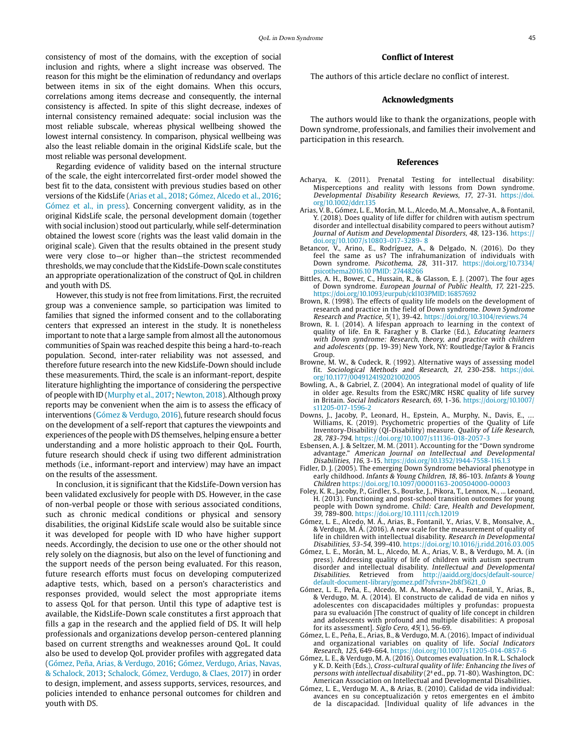consistency of most of the domains, with the exception of social inclusion and rights, where a slight increase was observed. The reason for this might be the elimination of redundancy and overlaps between items in six of the eight domains. When this occurs, correlations among items decrease and consequently, the internal consistency is affected. In spite of this slight decrease, indexes of internal consistency remained adequate: social inclusion was the most reliable subscale, whereas physical wellbeing showed the lowest internal consistency. In comparison, physical wellbeing was also the least reliable domain in the original KidsLife scale, but the most reliable was personal development.

Regarding evidence of validity based on the internal structure of the scale, the eight intercorrelated first-order model showed the best fit to the data, consistent with previous studies based on other versions of the KidsLife (Arias et al., 2018; Gómez, Alcedo et al., 2016; Gómez et al., in press). Concerning convergent validity, as in the original KidsLife scale, the personal development domain (together with social inclusion) stood out particularly, while self-determination obtained the lowest score (rights was the least valid domain in the original scale). Given that the results obtained in the present study were very close to—or higher than—the strictest recommended thresholds, we may conclude that the KidsLife-Down scale constitutes an appropriate operationalization of the construct of QoL in children and youth with DS.

However, this study is not free from limitations. First, the recruited group was a convenience sample, so participation was limited to families that signed the informed consent and to the collaborating centers that expressed an interest in the study. It is nonetheless important to note that a large sample from almost all the autonomous communities of Spain was reached despite this being a hard-to-reach population. Second, inter-rater reliability was not assessed, and therefore future research into the new KidsLife-Down should include these measurements. Third, the scale is an informant-report, despite literature highlighting the importance of considering the perspective of people with ID (Murphy et al., 2017; Newton, 2018). Although proxy reports may be convenient when the aim is to assess the efficacy of interventions (Gómez & Verdugo, 2016), future research should focus on the development of a self-report that captures the viewpoints and experiences of the people with DS themselves, helping ensure a better understanding and a more holistic approach to their QoL. Fourth, future research should check if using two different administration methods (i.e., informant-report and interview) may have an impact on the results of the assessment.

In conclusion, it is significant that the KidsLife-Down version has been validated exclusively for people with DS. However, in the case of non-verbal people or those with serious associated conditions, such as chronic medical conditions or physical and sensory disabilities, the original KidsLife scale would also be suitable since it was developed for people with ID who have higher support needs. Accordingly, the decision to use one or the other should not rely solely on the diagnosis, but also on the level of functioning and the support needs of the person being evaluated. For this reason, future research efforts must focus on developing computerized adaptive tests, which, based on a person's characteristics and responses provided, would select the most appropriate items to assess QoL for that person. Until this type of adaptive test is available, the KidsLife-Down scale constitutes a first approach that fills a gap in the research and the applied field of DS. It will help professionals and organizations develop person-centered planning based on current strengths and weaknesses around QoL. It could also be used to develop QoL provider profiles with aggregated data (Gómez, Peña, Arias, & Verdugo, 2016; Gómez, Verdugo, Arias, Navas, & Schalock, 2013; Schalock, Gómez, Verdugo, & Claes, 2017) in order to design, implement, and assess supports, services, resources, and policies intended to enhance personal outcomes for children and youth with DS.

### **Conflict of Interest**

The authors of this article declare no conflict of interest.

#### **Acknowledgments**

The authors would like to thank the organizations, people with Down syndrome, professionals, and families their involvement and participation in this research.

#### **References**

- Acharya, K. (2011). Prenatal Testing for intellectual disability: Misperceptions and reality with lessons from Down syndrome. Developmental Disability Research Reviews, 17, 27-31. [https://doi.](https://doi.org/10.1002/ddrr.135) [org/10.1002/ddrr.135](https://doi.org/10.1002/ddrr.135)
- Arias, V. B., Gómez, L. E., Morán, M. L., Alcedo, M. A., Monsalve, A., & Fontanil, Y. (2018). Does quality of life differ for children with autism spectrum disorder and intellectual disability compared to peers without autism? Journal of Autism and Developmental Disorders, 48, 123-136. https:// doi.org/10.1007/s10803-017-3289- 8
- Betancor, V., Arino, E., Rodríguez, A., & Delgado, N. (2016). Do they feel the same as us? The infrahumanization of individuals with Down syndrome. Psicothema, 28, 311-317. [https://doi.org/10.7334/](https://doi.org/10.7334/psicothema2016.10 PMID: 27448266) [psicothema2016.10 PMID: 27448266](https://doi.org/10.7334/psicothema2016.10 PMID: 27448266)
- Bittles, A. H., Bower, C., Hussain, R., & Glasson, E. J. (2007). The four ages of Down syndrome. European Journal of Public Health, 17, 221-225. <https://doi.org/10.1093/eurpub/ckl103PMID:16857692>
- Brown, R. (1998). The effects of quality life models on the development of research and practice in the field of Down syndrome. Down Syndrome Research and Practice, 5(1), 39-42. <https://doi.org/10.3104/reviews.74>
- Brown, R. I. (2014). A lifespan approach to learning in the context of quality of life. En R. Faragher y B. Clarke (Ed.), Educating learners with Down syndrome: Research, theory, and practice with children and adolescents (pp. 19-39) New York, NY: Routledge/Taylor & Francis Group.
- Browne, M. W., & Cudeck, R. (1992). Alternative ways of assessing model fit. Sociological Methods and Research, 21, 230-258. [https://doi.](https://doi.org/10.1177/0049124192021002005) [org/10.1177/0049124192021002005](https://doi.org/10.1177/0049124192021002005)
- Bowling, A., & Gabriel, Z. (2004). An integrational model of quality of life in older age. Results from the ESRC/MRC HSRC quality of life survey in Britain. Social Indicators Research, 69, 1-36. [https://doi.org/10.1007/](https://doi.org/10.1007/s11205-017-1596-2) [s11205-017-1596-2](https://doi.org/10.1007/s11205-017-1596-2)
- Downs, J., Jacoby, P., Leonard, H., Epstein, A., Murphy, N., Davis, E. Williams, K. (2019). Psychometric properties of the Quality of Life Inventory-Disability (QI-Disability) measure. Quality of Life Research, 28, 783-794. https://doi.org/10.1007/s11136-018-2057-3
- Esbensen, A. J. & Seltzer, M. M. (2011). Accounting for the "Down syndrome advantage." American Journal on Intellectual and Developmental Disabilities, 116, 3-15. <https://doi.org/10.1352/1944-7558-116.1.3>
- Fidler, D. J. (2005). The emerging Down Syndrome behavioral phenotype in early childhood. Infants & Young Children, 18, 86-103. Infants & Young Children https://doi.org/10.1097/00001163-200504000-00003
- Foley, K. R., Jacoby, P., Girdler, S., Bourke, J., Pikora, T., Lennox, N., ... Leonard, H. (2013). Functioning and post-school transition outcomes for young people with Down syndrome. Child: Care, Health and Development, 39, 789-800. https://doi.org/10.1111/cch.12019
- Gómez, L. E., Alcedo, M. Á., Arias, B., Fontanil, Y., Arias, V. B., Monsalve, A., & Verdugo, M. Á. (2016). A new scale for the measurement of quality of life in children with intellectual disability. Research in Developmental Disabilities, 53-54, 399-410. https://doi.org/10.1016/j.ridd.2016.03.005
- Gómez, L. E., Morán, M. L., Alcedo, M. A., Arias, V. B., & Verdugo, M. A. (in press). Addressing quality of life of children with autism spectrum disorder and intellectual disability. Intellectual and Developmental Disabilities. Retrieved from [http://aaidd.org/docs/default-source/](http://aaidd.org/docs/default-source/default-document-library/gomez.pdf?sfvrsn=2b8f3621_0) [default-document-library/gomez.pdf?sfvrsn=2b8f3621\\_0](http://aaidd.org/docs/default-source/default-document-library/gomez.pdf?sfvrsn=2b8f3621_0)
- Gómez, L. E., Peña, E., Alcedo, M. A., Monsalve, A., Fontanil, Y., Arias, B., & Verdugo, M. A. (2014). El constructo de calidad de vida en niños y adolescentes con discapacidades múltiples y profundas: propuesta para su evaluación [The construct of quality of life concept in children and adolescents with profound and multiple disabilities: A proposal for its assessment]. Siglo Cero, 45(1), 56-69.
- Gómez, L. E., Peña, E., Arias, B., & Verdugo, M. A. (2016). Impact of individual and organizational variables on quality of life. Social Indicators Research, 125, 649-664. https://doi.org/10.1007/s11205-014-0857-6
- Gómez, L. E., & Verdugo, M. A. (2016). Outcomes evaluation. In R. L. Schalock y K. D. Keith (Eds.), Cross-cultural quality of life: Enhancing the lives of persons with intellectual disability (2ª ed., pp. 71-80). Washington, DC: American Association on Intellectual and Developmental Disabilities.
- Gómez, L. E., Verdugo M. A., & Arias, B. (2010). Calidad de vida individual: avances en su conceptualización y retos emergentes en el ámbito de la discapacidad. [Individual quality of life advances in the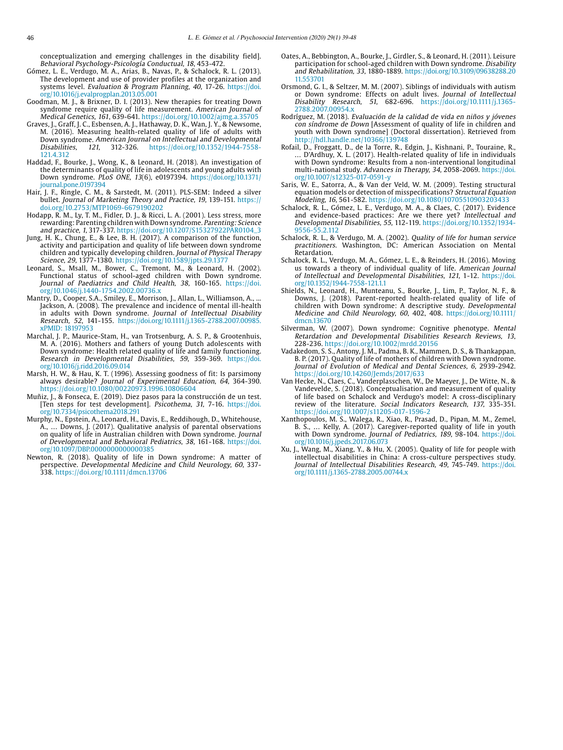conceptualization and emerging challenges in the disability field]. Behavioral Psychology-Psicología Conductual, 18, 453-472.

- Gómez, L. E., Verdugo, M. A., Arias, B., Navas, P., & Schalock, R. L. (2013). The development and use of provider profiles at the organization and systems level. Evaluation & Program Planning, 40, 17-26. [https://doi.](https://doi.org/10.1016/j.evalprogplan.2013.05.001) [org/10.1016/j.evalprogplan.2013.05.001](https://doi.org/10.1016/j.evalprogplan.2013.05.001)
- Goodman, M. J., & Brixner, D. I. (2013). New therapies for treating Down syndrome require quality of life measurement. American Journal of Medical Genetics, 161, 639-641. https://doi.org/10.1002/ajmg.a.35705
- Graves, J., Graff, J. C., Esbensen, A. J., Hathaway, D. K., Wan, J. Y., & Newsome, M. (2016). Measuring health-related quality of life of adults with Down syndrome. American Journal on Intellectual and Developmental<br>Disabilities, 121, 312-326. https://doi.org/10.1352/1944-7558-121, 312-326. https://doi.org/10.1352/1944-7558-121.4.312
- Haddad, F., Bourke, J., Wong, K., & Leonard, H. (2018). An investigation of the determinants of quality of life in adolescents and young adults with Down syndrome. PLoS ONE, 13(6), e0197394. [https://doi.org/10.1371/](https://doi.org/10.1371/journal.pone.0197394) [journal.pone.0197394](https://doi.org/10.1371/journal.pone.0197394)
- Hair, J. F., Ringle, C. M., & Sarstedt, M. (2011). PLS-SEM: Indeed a silver bullet. Journal of Marketing Theory and Practice, 19, 139-151. https:// doi.org/10.2753/MTP1069-6679190202
- Hodapp, R. M., Ly, T. M., Fidler, D. J., & Ricci, L. A. (2001). Less stress, more rewarding: Parenting children with Down syndrome. Parenting: Science and practice, 1, 317-337. https://doi.org/10.1207/S15327922PAR0104\_3 Jung, H. K., [Chung, E](https://apps.webofknowledge.com/OneClickSearch.do?product=UA&search_mode=OneClickSearch&excludeEventConfig=ExcludeIfFromFullRecPage&SID=E4De4DVwaja5ItmRNdQ&field=AU&value=Chung, EunJung)., & Lee, B. H. (2017). A comparison of the function,
- activity and participation and quality of life between down syndrome children and typically developing children. Journal of Physical Therapy Science, 29, 1377-1380. https://doi.org/10.1589/jpts.29.1377
- Leonard, S., Msall, M., Bower, C., Tremont, M., & Leonard, H. (2002). Functional status of school-aged children with Down syndrome. Journal of Paediatrics and Child Health, 38, 160-165. [https://doi.](https://doi.org/10.1046/j.1440-1754.2002.00736.x) [org/10.1046/j.1440-1754.2002.00736.x](https://doi.org/10.1046/j.1440-1754.2002.00736.x)
- Mantry, D., Cooper, S.A., Smiley, E., Morrison, J., Allan, L., Williamson, A. Jackson, A. (2008). The prevalence and incidence of mental ill-health in adults with Down syndrome. Journal of Intellectual Disability Research, 52, 141-155. [https://doi.org/10.1111/j.1365-2788.2007.00985.](https://doi.org/10.1111/j.1365-2788.2007.00985.xPMID: 18197953) [xPMID: 18197953](https://doi.org/10.1111/j.1365-2788.2007.00985.xPMID: 18197953)
- Marchal, J. P., Maurice-Stam, H., van Trotsenburg, A. S. P., & Grootenhuis, M. A. (2016). Mothers and fathers of young Dutch adolescents with Down syndrome: Health related quality of life and family functioning. Research in Developmental Disabilities, 59, 359-369. [https://doi.](https://doi.org/10.1016/j.ridd.2016.09.014) [org/10.1016/j.ridd.2016.09.014](https://doi.org/10.1016/j.ridd.2016.09.014)
- Marsh, H. W., & Hau, K. T. (1996). Assessing goodness of fit: Is parsimony always desirable? Journal of Experimental Education, 64, 364-390. https://doi.org/10.1080/00220973.1996.10806604
- Muñiz, J., & Fonseca, E. (2019). Diez pasos para la construcción de un test. [Ten steps for test development]. Psicothema, 31, 7-16. [https://doi.](https://doi.org/10.7334/psicothema2018.291) [org/10.7334/psicothema2018.291](https://doi.org/10.7334/psicothema2018.291)
- Murphy, N., Epstein, A., Leonard, H., Davis, E., Reddihough, D., Whitehouse, A., … Downs, J. (2017). Qualitative analysis of parental observations on quality of life in Australian children with Down syndrome. Journal of Developmental and Behavioral Pediatrics, 38, 161-168. [https://doi.](https://doi.org/10.1097/DBP.0000000000000385) [org/10.1097/DBP.0000000000000385](https://doi.org/10.1097/DBP.0000000000000385)
- Newton, R. (2018). Quality of life in Down syndrome: A matter of perspective. Developmental Medicine and Child Neurology, 60, 337-338. https://doi.org/10.1111/dmcn.13706
- Oates, A., Bebbington, A., Bourke, J., Girdler, S., & Leonard, H. (2011). Leisure participation for school-aged children with Down syndrome. Disability and Rehabilitation, 33, 1880-1889. [https://doi.org/10.3109/09638288.20](https://doi.org/10.3109/09638288.2011.553701) [11.553701](https://doi.org/10.3109/09638288.2011.553701)
- Orsmond, G. I., & Seltzer, M. M. (2007). Siblings of individuals with autism or Down syndrome: Effects on adult lives. Journal of Intellectual Disability Research, 51, 682-696. https://doi.org/10.1111/j.1365- 2788.2007.00954.x
- Rodríguez, M. (2018). Evaluación de la calidad de vida en niños y jóvenes con síndrome de Down [Assessment of quality of life in children and youth with Down syndrome] (Doctoral dissertation). Retrieved from http://hdl.handle.net/10366/139748
- Rofail, D., Froggatt, D., de la Torre, R., Edgin, J., Kishnani, P., Touraine, R., … D'Ardhuy, X. L. (2017). Health-related quality of life in individuals with Down syndrome: Results from a non-interventional longitudinal multi-national study. Advances in Therapy, 34, 2058-2069. [https://doi.](https://doi.org/10.1007/s12325-017-0591-y) [org/10.1007/s12325-017-0591-y](https://doi.org/10.1007/s12325-017-0591-y)
- Saris, W. E., Satorra, A., & Van der Veld, W. M. (2009). Testing structural equation models or detection of misspecifications? Structural Equation Modeling, 16, 561-582.<https://doi.org/10.1080/10705510903203433>
- Schalock, R. L., Gómez, L. E., Verdugo, M. A., & Claes, C. (2017). Evidence and evidence-based practices: Are we there yet? Intellectual and Developmental Disabilities, 55, 112-119. https://doi.org/10.1352/1934- 9556-55.2.112
- Schalock, R. L., & Verdugo, M. A. (2002). Quality of life for human service practitioners. Washington, DC: American Association on Mental Retardation.
- Schalock, R. L., Verdugo, M. A., Gómez, L. E., & Reinders, H. (2016). Moving us towards a theory of individual quality of life. American Journal of Intellectual and Developmental Disabilities, 121, 1-12. [https://doi.](https://doi.org/10.1352/1944-7558-121.1.1) [org/10.1352/1944-7558-121.1.1](https://doi.org/10.1352/1944-7558-121.1.1)
- Shields, N., Leonard, H., Munteanu, S., Bourke, J., Lim, P., Taylor, N. F., & Downs, J. (2018). Parent-reported health-related quality of life of children with Down syndrome: A descriptive study. Developmental Medicine and Child Neurology, 60, 402, 408. [https://doi.org/10.1111/](https://doi.org/10.1111/dmcn.13670) [dmcn.13670](https://doi.org/10.1111/dmcn.13670)
- Silverman, W. (2007). Down syndrome: Cognitive phenotype. Mental Retardation and Developmental Disabilities Research Reviews, 13, 228-236. https://doi.org/10.1002/mrdd.20156
- Vadakedom, S. S., Antony, J. M., Padma, B. K., Mammen, D. S., & Thankappan, B. P. (2017). Quality of life of mothers of children with Down syndrome. Journal of Evolution of Medical and Dental Sciences, 6, 2939-2942. https://doi.org/10.14260/Jemds/2017/633
- Van Hecke, N., Claes, C., Vanderplasschen, W., De Maeyer, J., De Witte, N., & Vandevelde, S. (2018). Conceptualisation and measurement of quality of life based on Schalock and Verdugo's model: A cross-disciplinary review of the literature. Social Indicators Research, 137, 335-351. https://doi.org/10.1007/s11205-017-1596-2
- Xanthopoulos, M. S., Walega, R., Xiao, R., Prasad, D., Pipan, M. M., Zemel, B. S., … Kelly, A. (2017). Caregiver-reported quality of life in youth with Down syndrome. Journal of Pediatrics, 189, 98-104. [https://doi.](https://doi.org/10.1016/j.jpeds.2017.06.073) [org/10.1016/j.jpeds.2017.06.073](https://doi.org/10.1016/j.jpeds.2017.06.073)
- Xu, J., Wang, M., Xiang, Y., & Hu, X. (2005). Quality of life for people with intellectual disabilities in China: A cross-culture perspectives study. Journal of Intellectual Disabilities Research, 49, 745-749. [https://doi.](https://doi.org/10.1111/j.1365-2788.2005.00744.x) [org/10.1111/j.1365-2788.2005.00744.x](https://doi.org/10.1111/j.1365-2788.2005.00744.x)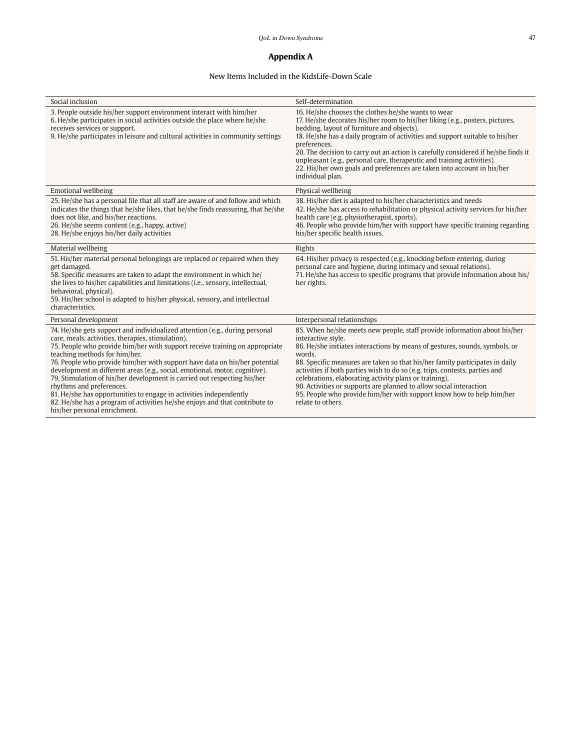# **Appendix A**

# New Items Included in the KidsLife-Down Scale

| Social inclusion                                                                                                                                                                                                                                                                                                                                                                                                                                                                                                                                                                                                                                                                                           | Self-determination                                                                                                                                                                                                                                                                                                                                                                                                                                                                                                                                                                   |
|------------------------------------------------------------------------------------------------------------------------------------------------------------------------------------------------------------------------------------------------------------------------------------------------------------------------------------------------------------------------------------------------------------------------------------------------------------------------------------------------------------------------------------------------------------------------------------------------------------------------------------------------------------------------------------------------------------|--------------------------------------------------------------------------------------------------------------------------------------------------------------------------------------------------------------------------------------------------------------------------------------------------------------------------------------------------------------------------------------------------------------------------------------------------------------------------------------------------------------------------------------------------------------------------------------|
| 3. People outside his/her support environment interact with him/her<br>6. He/she participates in social activities outside the place where he/she<br>receives services or support.<br>9. He/she participates in leisure and cultural activities in community settings                                                                                                                                                                                                                                                                                                                                                                                                                                      | 16. He/she chooses the clothes he/she wants to wear<br>17. He/she decorates his/her room to his/her liking (e.g., posters, pictures,<br>bedding, layout of furniture and objects).<br>18. He/she has a daily program of activities and support suitable to his/her<br>preferences.<br>20. The decision to carry out an action is carefully considered if he/she finds it<br>unpleasant (e.g., personal care, therapeutic and training activities).<br>22. His/her own goals and preferences are taken into account in his/her<br>individual plan.                                    |
| <b>Emotional wellbeing</b>                                                                                                                                                                                                                                                                                                                                                                                                                                                                                                                                                                                                                                                                                 | Physical wellbeing                                                                                                                                                                                                                                                                                                                                                                                                                                                                                                                                                                   |
| 25. He/she has a personal file that all staff are aware of and follow and which<br>indicates the things that he/she likes, that he/she finds reassuring, that he/she<br>does not like, and his/her reactions.<br>26. He/she seems content (e.g., happy, active)<br>28. He/she enjoys his/her daily activities                                                                                                                                                                                                                                                                                                                                                                                              | 38. His/her diet is adapted to his/her characteristics and needs<br>42. He/she has access to rehabilitation or physical activity services for his/her<br>health care (e.g. physiotherapist, sports).<br>46. People who provide him/her with support have specific training regarding<br>his/her specific health issues.                                                                                                                                                                                                                                                              |
| Material wellbeing                                                                                                                                                                                                                                                                                                                                                                                                                                                                                                                                                                                                                                                                                         | Rights                                                                                                                                                                                                                                                                                                                                                                                                                                                                                                                                                                               |
| 51. His/her material personal belongings are replaced or repaired when they<br>get damaged.<br>58. Specific measures are taken to adapt the environment in which he/<br>she lives to his/her capabilities and limitations (i.e., sensory, intellectual,<br>behavioral, physical).<br>59. His/her school is adapted to his/her physical, sensory, and intellectual<br>characteristics.                                                                                                                                                                                                                                                                                                                      | 64. His/her privacy is respected (e.g., knocking before entering, during<br>personal care and hygiene, during intimacy and sexual relations).<br>71. He/she has access to specific programs that provide information about his/<br>her rights.                                                                                                                                                                                                                                                                                                                                       |
| Personal development                                                                                                                                                                                                                                                                                                                                                                                                                                                                                                                                                                                                                                                                                       | Interpersonal relationships                                                                                                                                                                                                                                                                                                                                                                                                                                                                                                                                                          |
| 74. He/she gets support and individualized attention (e.g., during personal<br>care, meals, activities, therapies, stimulation).<br>75. People who provide him/her with support receive training on appropriate<br>teaching methods for him/her.<br>76. People who provide him/her with support have data on his/her potential<br>development in different areas (e.g., social, emotional, motor, cognitive).<br>79. Stimulation of his/her development is carried out respecting his/her<br>rhythms and preferences.<br>81. He/she has opportunities to engage in activities independently<br>82. He/she has a program of activities he/she enjoys and that contribute to<br>his/her personal enrichment. | 85. When he/she meets new people, staff provide information about his/her<br>interactive style.<br>86. He/she initiates interactions by means of gestures, sounds, symbols, or<br>words.<br>88. Specific measures are taken so that his/her family participates in daily<br>activities if both parties wish to do so (e.g. trips, contests, parties and<br>celebrations, elaborating activity plans or training).<br>90. Activities or supports are planned to allow social interaction<br>95. People who provide him/her with support know how to help him/her<br>relate to others. |